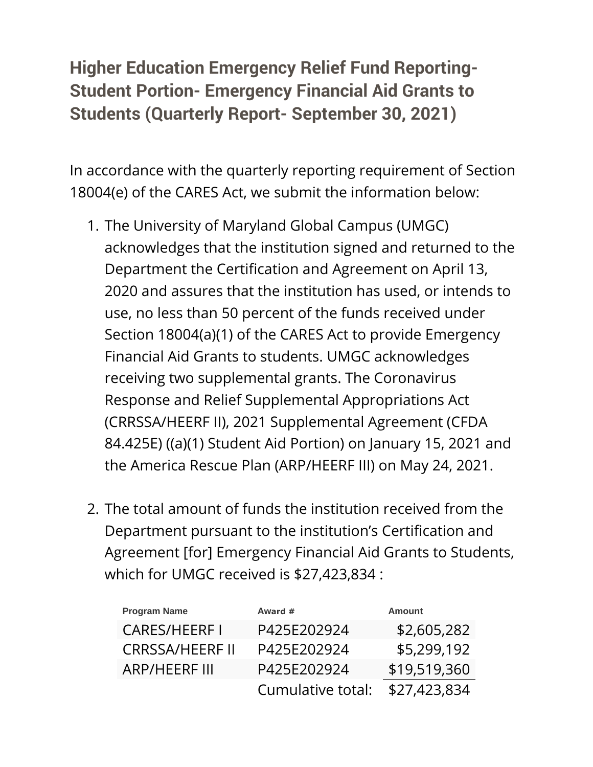## **Higher Education Emergency Relief Fund Reporting-Student Portion- Emergency Financial Aid Grants to Students (Quarterly Report- September 30, 2021)**

In accordance with the quarterly reporting requirement of Section 18004(e) of the CARES Act, we submit the information below:

- 1. The University of Maryland Global Campus (UMGC) acknowledges that the institution signed and returned to the Department the Certification and Agreement on April 13, 2020 and assures that the institution has used, or intends to use, no less than 50 percent of the funds received under Section 18004(a)(1) of the CARES Act to provide Emergency Financial Aid Grants to students. UMGC acknowledges receiving two supplemental grants. The Coronavirus Response and Relief Supplemental Appropriations Act (CRRSSA/HEERF II), 2021 Supplemental Agreement (CFDA 84.425E) ((a)(1) Student Aid Portion) on January 15, 2021 and the America Rescue Plan (ARP/HEERF III) on May 24, 2021.
- 2. The total amount of funds the institution received from the Department pursuant to the institution's Certification and Agreement [for] Emergency Financial Aid Grants to Students, which for UMGC received is \$27,423,834 :

| <b>Program Name</b>    | Award #           | <b>Amount</b> |
|------------------------|-------------------|---------------|
| <b>CARES/HEERFI</b>    | P425E202924       | \$2,605,282   |
| <b>CRRSSA/HEERF II</b> | P425E202924       | \$5,299,192   |
| <b>ARP/HEERF III</b>   | P425E202924       | \$19,519,360  |
|                        | Cumulative total: | \$27,423,834  |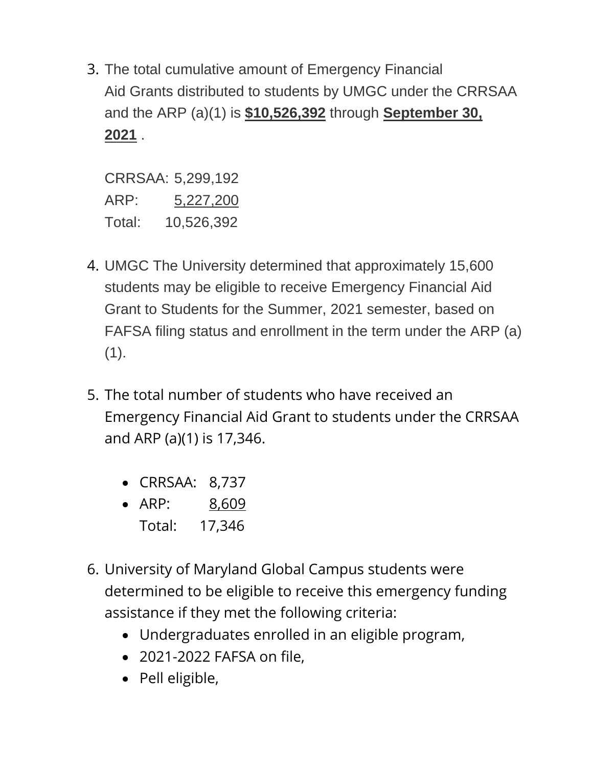3. The total cumulative amount of Emergency Financial Aid Grants distributed to students by UMGC under the CRRSAA and the ARP (a)(1) is **\$10,526,392** through **September 30, 2021** .

CRRSAA: 5,299,192 ARP: 5,227,200 Total: 10,526,392

- 4. UMGC The University determined that approximately 15,600 students may be eligible to receive Emergency Financial Aid Grant to Students for the Summer, 2021 semester, based on FAFSA filing status and enrollment in the term under the ARP (a)  $(1).$
- 5. The total number of students who have received an Emergency Financial Aid Grant to students under the CRRSAA and ARP (a)(1) is 17,346.
	- CRRSAA: 8,737
	- ARP: 8,609
	- Total: 17,346
- 6. University of Maryland Global Campus students were determined to be eligible to receive this emergency funding assistance if they met the following criteria:
	- Undergraduates enrolled in an eligible program,
	- 2021-2022 FAFSA on file,
	- Pell eligible,